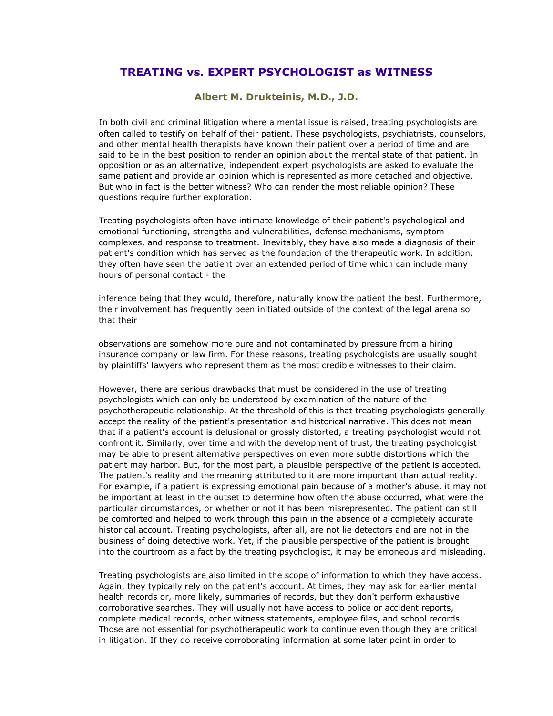## **TREATING vs. EXPERT PSYCHOLOGIST as WITNESS**

## **Albert M. Drukteinis, M.D., J.D.**

In both civil and criminal litigation where a mental issue is raised, treating psychologists are often called to testify on behalf of their patient. These psychologists, psychiatrists, counselors, and other mental health therapists have known their patient over a period of time and are said to be in the best position to render an opinion about the mental state of that patient. In opposition or as an alternative, independent expert psychologists are asked to evaluate the same patient and provide an opinion which is represented as more detached and objective. But who in fact is the better witness? Who can render the most reliable opinion? These questions require further exploration.

Treating psychologists often have intimate knowledge of their patient's psychological and emotional functioning, strengths and vulnerabilities, defense mechanisms, symptom complexes, and response to treatment. Inevitably, they have also made a diagnosis of their patient's condition which has served as the foundation of the therapeutic work. In addition, they often have seen the patient over an extended period of time which can include many hours of personal contact - the

inference being that they would, therefore, naturally know the patient the best. Furthermore, their involvement has frequently been initiated outside of the context of the legal arena so that their

observations are somehow more pure and not contaminated by pressure from a hiring insurance company or law firm. For these reasons, treating psychologists are usually sought by plaintiffs' lawyers who represent them as the most credible witnesses to their claim.

However, there are serious drawbacks that must be considered in the use of treating psychologists which can only be understood by examination of the nature of the psychotherapeutic relationship. At the threshold of this is that treating psychologists generally accept the reality of the patient's presentation and historical narrative. This does not mean that if a patient's account is delusional or grossly distorted, a treating psychologist would not confront it. Similarly, over time and with the development of trust, the treating psychologist may be able to present alternative perspectives on even more subtle distortions which the patient may harbor. But, for the most part, a plausible perspective of the patient is accepted. The patient's reality and the meaning attributed to it are more important than actual reality. For example, if a patient is expressing emotional pain because of a mother's abuse, it may not be important at least in the outset to determine how often the abuse occurred, what were the particular circumstances, or whether or not it has been misrepresented. The patient can still be comforted and helped to work through this pain in the absence of a completely accurate historical account. Treating psychologists, after all, are not lie detectors and are not in the business of doing detective work. Yet, if the plausible perspective of the patient is brought into the courtroom as a fact by the treating psychologist, it may be erroneous and misleading.

Treating psychologists are also limited in the scope of information to which they have access. Again, they typically rely on the patient's account. At times, they may ask for earlier mental health records or, more likely, summaries of records, but they don't perform exhaustive corroborative searches. They will usually not have access to police or accident reports, complete medical records, other witness statements, employee files, and school records. Those are not essential for psychotherapeutic work to continue even though they are critical in litigation. If they do receive corroborating information at some later point in order to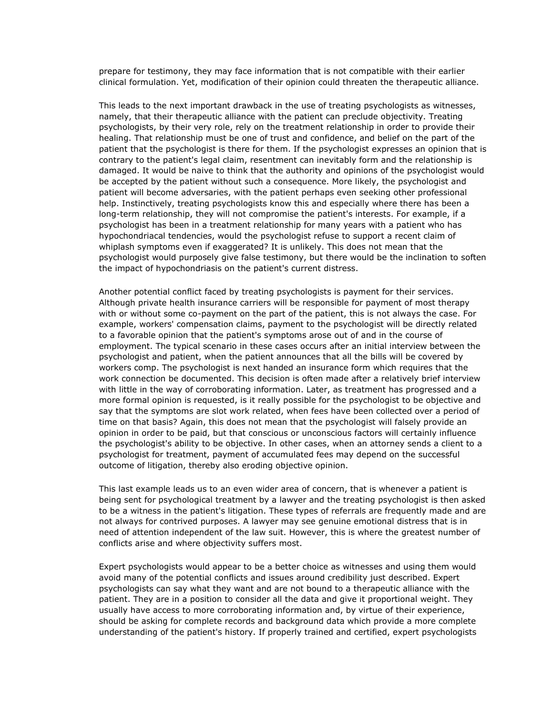prepare for testimony, they may face information that is not compatible with their earlier clinical formulation. Yet, modification of their opinion could threaten the therapeutic alliance.

This leads to the next important drawback in the use of treating psychologists as witnesses, namely, that their therapeutic alliance with the patient can preclude objectivity. Treating psychologists, by their very role, rely on the treatment relationship in order to provide their healing. That relationship must be one of trust and confidence, and belief on the part of the patient that the psychologist is there for them. If the psychologist expresses an opinion that is contrary to the patient's legal claim, resentment can inevitably form and the relationship is damaged. It would be naive to think that the authority and opinions of the psychologist would be accepted by the patient without such a consequence. More likely, the psychologist and patient will become adversaries, with the patient perhaps even seeking other professional help. Instinctively, treating psychologists know this and especially where there has been a long-term relationship, they will not compromise the patient's interests. For example, if a psychologist has been in a treatment relationship for many years with a patient who has hypochondriacal tendencies, would the psychologist refuse to support a recent claim of whiplash symptoms even if exaggerated? It is unlikely. This does not mean that the psychologist would purposely give false testimony, but there would be the inclination to soften the impact of hypochondriasis on the patient's current distress.

Another potential conflict faced by treating psychologists is payment for their services. Although private health insurance carriers will be responsible for payment of most therapy with or without some co-payment on the part of the patient, this is not always the case. For example, workers' compensation claims, payment to the psychologist will be directly related to a favorable opinion that the patient's symptoms arose out of and in the course of employment. The typical scenario in these cases occurs after an initial interview between the psychologist and patient, when the patient announces that all the bills will be covered by workers comp. The psychologist is next handed an insurance form which requires that the work connection be documented. This decision is often made after a relatively brief interview with little in the way of corroborating information. Later, as treatment has progressed and a more formal opinion is requested, is it really possible for the psychologist to be objective and say that the symptoms are slot work related, when fees have been collected over a period of time on that basis? Again, this does not mean that the psychologist will falsely provide an opinion in order to be paid, but that conscious or unconscious factors will certainly influence the psychologist's ability to be objective. In other cases, when an attorney sends a client to a psychologist for treatment, payment of accumulated fees may depend on the successful outcome of litigation, thereby also eroding objective opinion.

This last example leads us to an even wider area of concern, that is whenever a patient is being sent for psychological treatment by a lawyer and the treating psychologist is then asked to be a witness in the patient's litigation. These types of referrals are frequently made and are not always for contrived purposes. A lawyer may see genuine emotional distress that is in need of attention independent of the law suit. However, this is where the greatest number of conflicts arise and where objectivity suffers most.

Expert psychologists would appear to be a better choice as witnesses and using them would avoid many of the potential conflicts and issues around credibility just described. Expert psychologists can say what they want and are not bound to a therapeutic alliance with the patient. They are in a position to consider all the data and give it proportional weight. They usually have access to more corroborating information and, by virtue of their experience, should be asking for complete records and background data which provide a more complete understanding of the patient's history. If properly trained and certified, expert psychologists